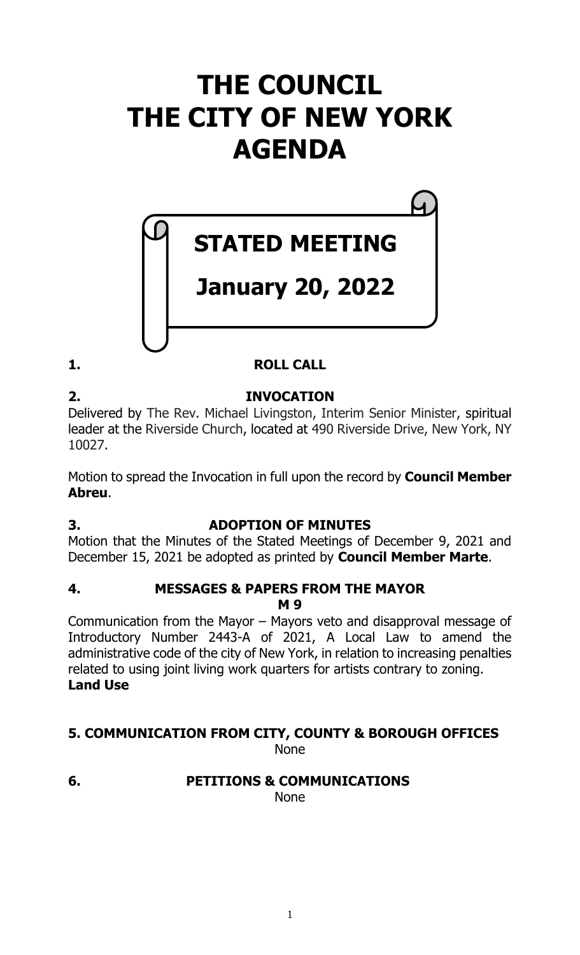## **THE COUNCIL THE CITY OF NEW YORK AGENDA**

# **STATED MEETING**

## **January 20, 2022**

## **1. ROLL CALL**

#### **2. INVOCATION** Delivered by The Rev. Michael Livingston, Interim Senior Minister, spiritual leader at the Riverside Church, located at 490 Riverside Drive, New York, NY 10027.

Motion to spread the Invocation in full upon the record by **Council Member Abreu**.

## **3. ADOPTION OF MINUTES**

Motion that the Minutes of the Stated Meetings of December 9, 2021 and December 15, 2021 be adopted as printed by **Council Member Marte**.

#### **4. MESSAGES & PAPERS FROM THE MAYOR M 9**

Communication from the Mayor – Mayors veto and disapproval message of Introductory Number 2443-A of 2021, A Local Law to amend the administrative code of the city of New York, in relation to increasing penalties related to using joint living work quarters for artists contrary to zoning. **Land Use**

#### **5. COMMUNICATION FROM CITY, COUNTY & BOROUGH OFFICES** None

### **6. PETITIONS & COMMUNICATIONS**

None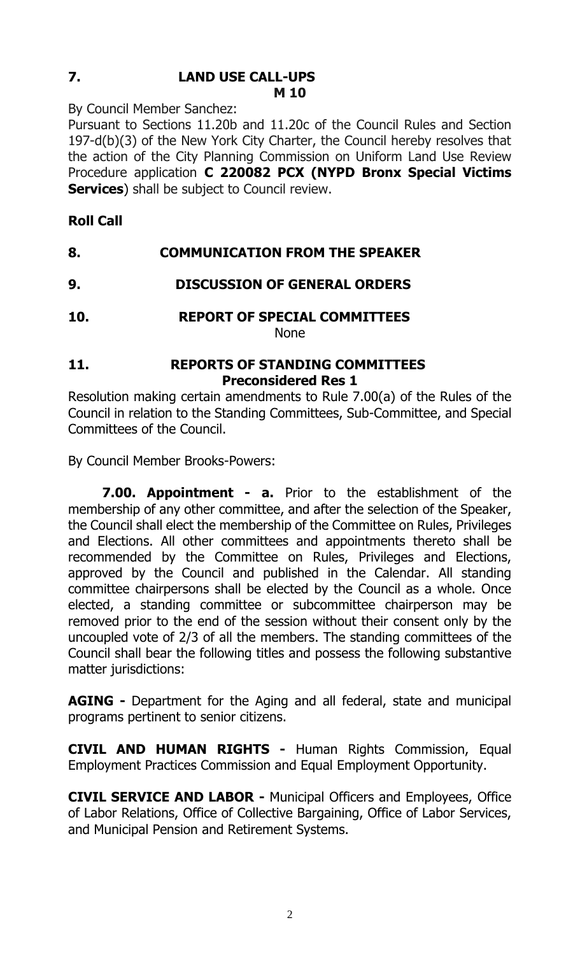#### **7. LAND USE CALL-UPS M 10**

By Council Member Sanchez:

Pursuant to Sections 11.20b and 11.20c of the Council Rules and Section 197-d(b)(3) of the New York City Charter, the Council hereby resolves that the action of the City Planning Commission on Uniform Land Use Review Procedure application **C 220082 PCX (NYPD Bronx Special Victims Services**) shall be subject to Council review.

#### **Roll Call**

#### **8. COMMUNICATION FROM THE SPEAKER**

#### **9. DISCUSSION OF GENERAL ORDERS**

**10. REPORT OF SPECIAL COMMITTEES** None

#### **11. REPORTS OF STANDING COMMITTEES Preconsidered Res 1**

Resolution making certain amendments to Rule 7.00(a) of the Rules of the Council in relation to the Standing Committees, Sub-Committee, and Special Committees of the Council.

By Council Member Brooks-Powers:

**7.00. Appointment - a.** Prior to the establishment of the membership of any other committee, and after the selection of the Speaker, the Council shall elect the membership of the Committee on Rules, Privileges and Elections. All other committees and appointments thereto shall be recommended by the Committee on Rules, Privileges and Elections, approved by the Council and published in the Calendar. All standing committee chairpersons shall be elected by the Council as a whole. Once elected, a standing committee or subcommittee chairperson may be removed prior to the end of the session without their consent only by the uncoupled vote of 2/3 of all the members. The standing committees of the Council shall bear the following titles and possess the following substantive matter jurisdictions:

**AGING -** Department for the Aging and all federal, state and municipal programs pertinent to senior citizens.

**CIVIL AND HUMAN RIGHTS -** Human Rights Commission, Equal Employment Practices Commission and Equal Employment Opportunity.

**CIVIL SERVICE AND LABOR -** Municipal Officers and Employees, Office of Labor Relations, Office of Collective Bargaining, Office of Labor Services, and Municipal Pension and Retirement Systems.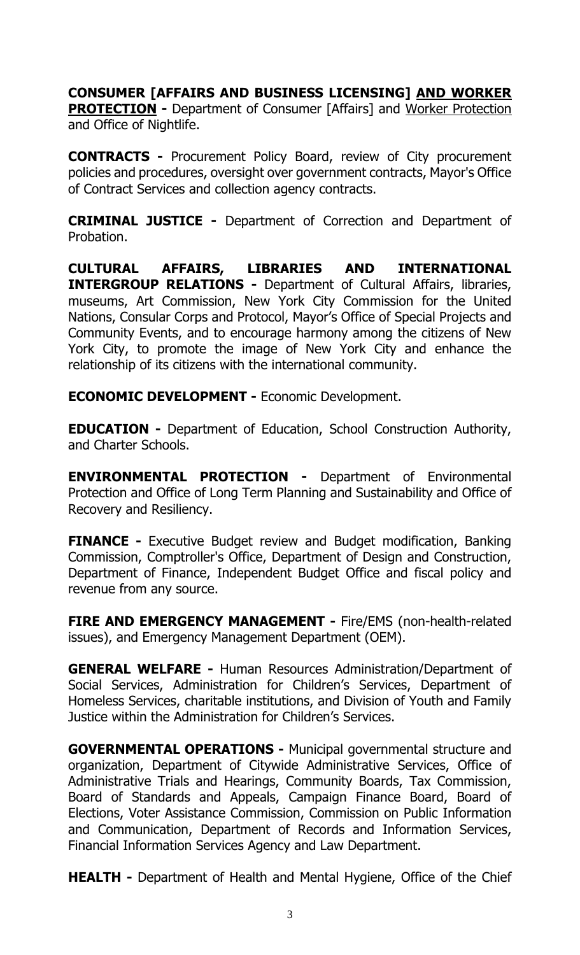### **CONSUMER [AFFAIRS AND BUSINESS LICENSING] AND WORKER**

**PROTECTION -** Department of Consumer [Affairs] and Worker Protection and Office of Nightlife.

**CONTRACTS -** Procurement Policy Board, review of City procurement policies and procedures, oversight over government contracts, Mayor's Office of Contract Services and collection agency contracts.

**CRIMINAL JUSTICE -** Department of Correction and Department of Probation.

**CULTURAL AFFAIRS, LIBRARIES AND INTERNATIONAL INTERGROUP RELATIONS -** Department of Cultural Affairs, libraries, museums, Art Commission, New York City Commission for the United Nations, Consular Corps and Protocol, Mayor's Office of Special Projects and Community Events, and to encourage harmony among the citizens of New York City, to promote the image of New York City and enhance the relationship of its citizens with the international community.

**ECONOMIC DEVELOPMENT -** Economic Development.

**EDUCATION -** Department of Education, School Construction Authority, and Charter Schools.

**ENVIRONMENTAL PROTECTION -** Department of Environmental Protection and Office of Long Term Planning and Sustainability and Office of Recovery and Resiliency.

**FINANCE -** Executive Budget review and Budget modification, Banking Commission, Comptroller's Office, Department of Design and Construction, Department of Finance, Independent Budget Office and fiscal policy and revenue from any source.

**FIRE AND EMERGENCY MANAGEMENT -** Fire/EMS (non-health-related issues), and Emergency Management Department (OEM).

**GENERAL WELFARE -** Human Resources Administration/Department of Social Services, Administration for Children's Services, Department of Homeless Services, charitable institutions, and Division of Youth and Family Justice within the Administration for Children's Services.

**GOVERNMENTAL OPERATIONS -** Municipal governmental structure and organization, Department of Citywide Administrative Services, Office of Administrative Trials and Hearings, Community Boards, Tax Commission, Board of Standards and Appeals, Campaign Finance Board, Board of Elections, Voter Assistance Commission, Commission on Public Information and Communication, Department of Records and Information Services, Financial Information Services Agency and Law Department.

**HEALTH -** Department of Health and Mental Hygiene, Office of the Chief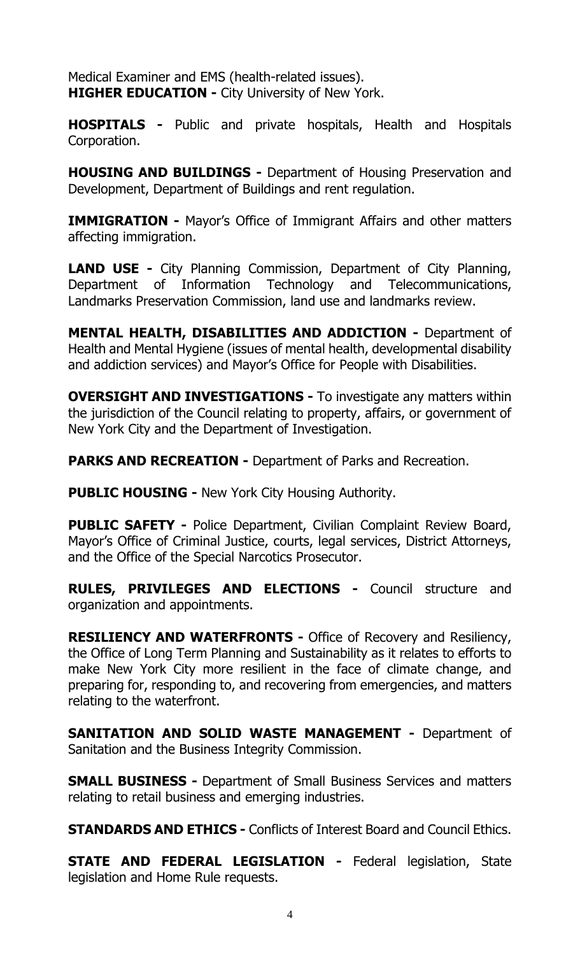Medical Examiner and EMS (health-related issues). **HIGHER EDUCATION -** City University of New York.

**HOSPITALS -** Public and private hospitals, Health and Hospitals Corporation.

**HOUSING AND BUILDINGS -** Department of Housing Preservation and Development, Department of Buildings and rent regulation.

**IMMIGRATION -** Mayor's Office of Immigrant Affairs and other matters affecting immigration.

**LAND USE -** City Planning Commission, Department of City Planning, Department of Information Technology and Telecommunications, Landmarks Preservation Commission, land use and landmarks review.

**MENTAL HEALTH, DISABILITIES AND ADDICTION -** Department of Health and Mental Hygiene (issues of mental health, developmental disability and addiction services) and Mayor's Office for People with Disabilities.

**OVERSIGHT AND INVESTIGATIONS -** To investigate any matters within the jurisdiction of the Council relating to property, affairs, or government of New York City and the Department of Investigation.

**PARKS AND RECREATION -** Department of Parks and Recreation.

**PUBLIC HOUSING -** New York City Housing Authority.

**PUBLIC SAFETY -** Police Department, Civilian Complaint Review Board, Mayor's Office of Criminal Justice, courts, legal services, District Attorneys, and the Office of the Special Narcotics Prosecutor.

**RULES, PRIVILEGES AND ELECTIONS -** Council structure and organization and appointments.

**RESILIENCY AND WATERFRONTS -** Office of Recovery and Resiliency, the Office of Long Term Planning and Sustainability as it relates to efforts to make New York City more resilient in the face of climate change, and preparing for, responding to, and recovering from emergencies, and matters relating to the waterfront.

**SANITATION AND SOLID WASTE MANAGEMENT -** Department of Sanitation and the Business Integrity Commission.

**SMALL BUSINESS -** Department of Small Business Services and matters relating to retail business and emerging industries.

**STANDARDS AND ETHICS -** Conflicts of Interest Board and Council Ethics.

**STATE AND FEDERAL LEGISLATION -** Federal legislation, State legislation and Home Rule requests.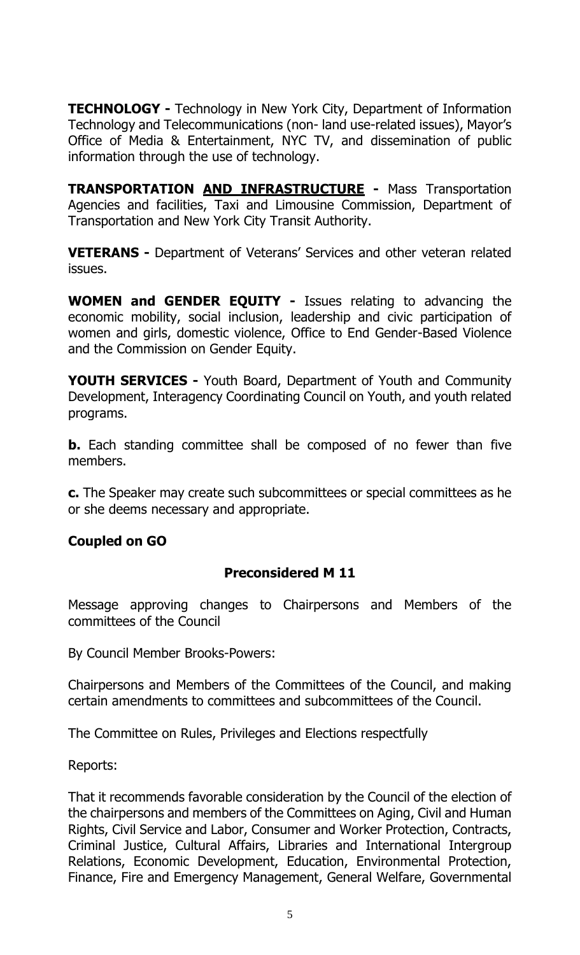**TECHNOLOGY -** Technology in New York City, Department of Information Technology and Telecommunications (non- land use-related issues), Mayor's Office of Media & Entertainment, NYC TV, and dissemination of public information through the use of technology.

**TRANSPORTATION AND INFRASTRUCTURE -** Mass Transportation Agencies and facilities, Taxi and Limousine Commission, Department of Transportation and New York City Transit Authority.

**VETERANS -** Department of Veterans' Services and other veteran related issues.

**WOMEN and GENDER EQUITY -** Issues relating to advancing the economic mobility, social inclusion, leadership and civic participation of women and girls, domestic violence, Office to End Gender-Based Violence and the Commission on Gender Equity.

**YOUTH SERVICES -** Youth Board, Department of Youth and Community Development, Interagency Coordinating Council on Youth, and youth related programs.

**b.** Each standing committee shall be composed of no fewer than five members.

**c.** The Speaker may create such subcommittees or special committees as he or she deems necessary and appropriate.

#### **Coupled on GO**

#### **Preconsidered M 11**

Message approving changes to Chairpersons and Members of the committees of the Council

By Council Member Brooks-Powers:

Chairpersons and Members of the Committees of the Council, and making certain amendments to committees and subcommittees of the Council.

The Committee on Rules, Privileges and Elections respectfully

Reports:

That it recommends favorable consideration by the Council of the election of the chairpersons and members of the Committees on Aging, Civil and Human Rights, Civil Service and Labor, Consumer and Worker Protection, Contracts, Criminal Justice, Cultural Affairs, Libraries and International Intergroup Relations, Economic Development, Education, Environmental Protection, Finance, Fire and Emergency Management, General Welfare, Governmental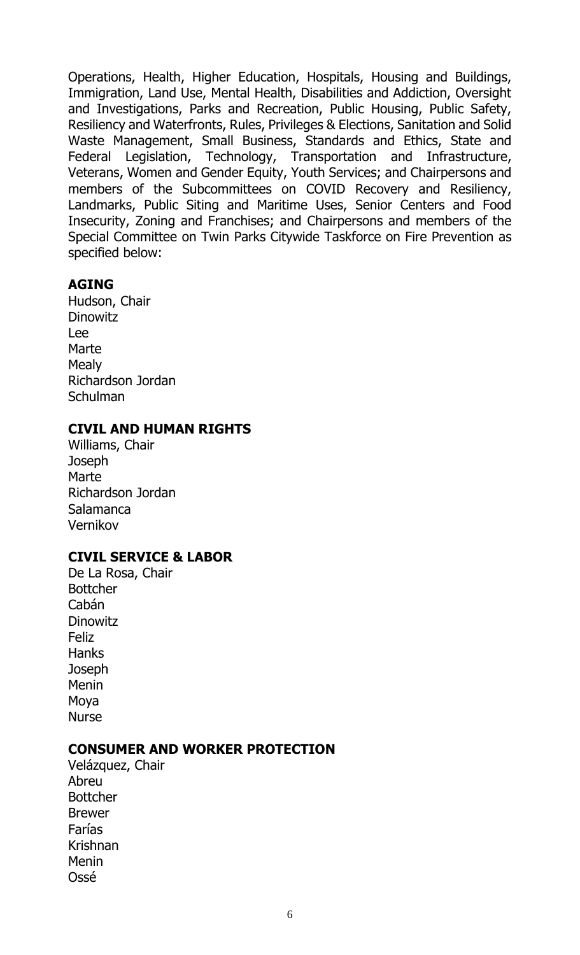Operations, Health, Higher Education, Hospitals, Housing and Buildings, Immigration, Land Use, Mental Health, Disabilities and Addiction, Oversight and Investigations, Parks and Recreation, Public Housing, Public Safety, Resiliency and Waterfronts, Rules, Privileges & Elections, Sanitation and Solid Waste Management, Small Business, Standards and Ethics, State and Federal Legislation, Technology, Transportation and Infrastructure, Veterans, Women and Gender Equity, Youth Services; and Chairpersons and members of the Subcommittees on COVID Recovery and Resiliency, Landmarks, Public Siting and Maritime Uses, Senior Centers and Food Insecurity, Zoning and Franchises; and Chairpersons and members of the Special Committee on Twin Parks Citywide Taskforce on Fire Prevention as specified below:

#### **AGING**

Hudson, Chair **Dinowitz** Lee **Marte Mealy** Richardson Jordan Schulman

#### **CIVIL AND HUMAN RIGHTS**

Williams, Chair **Joseph** Marte Richardson Jordan Salamanca Vernikov

#### **CIVIL SERVICE & LABOR**

De La Rosa, Chair Bottcher Cabán **Dinowitz** Feliz **Hanks Joseph Menin** Moya Nurse

#### **CONSUMER AND WORKER PROTECTION**

Velázquez, Chair Abreu Bottcher Brewer Farías Krishnan Menin Ossé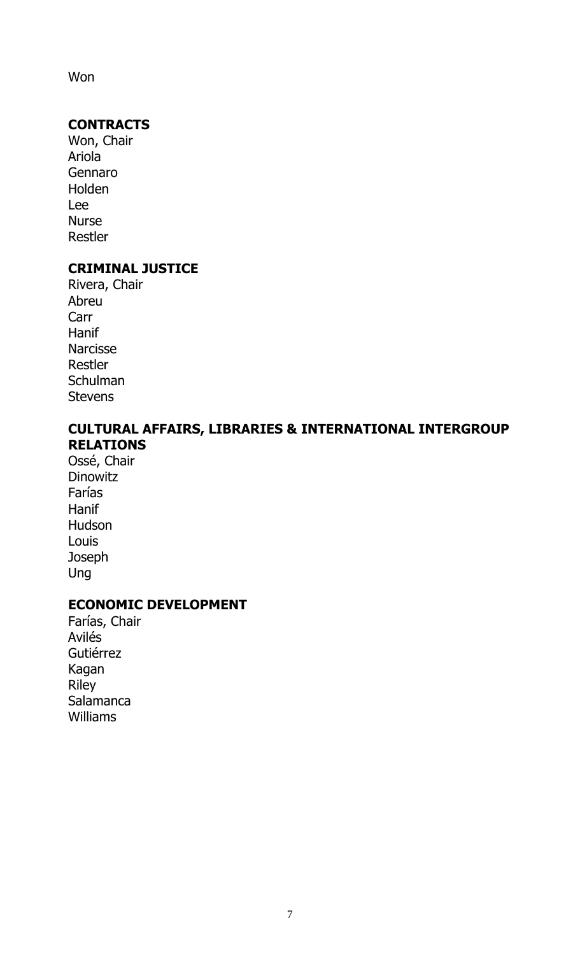Won

#### **CONTRACTS**

Won, Chair Ariola Gennaro Holden Lee Nurse Restler

#### **CRIMINAL JUSTICE**

Rivera, Chair Abreu Carr Hanif Narcisse Restler **Schulman Stevens** 

#### **CULTURAL AFFAIRS, LIBRARIES & INTERNATIONAL INTERGROUP RELATIONS**

Ossé, Chair **Dinowitz** Farías **Hanif** Hudson Louis **Joseph** Ung

#### **ECONOMIC DEVELOPMENT**

Farías, Chair Avilés Gutiérrez Kagan Riley **Salamanca** Williams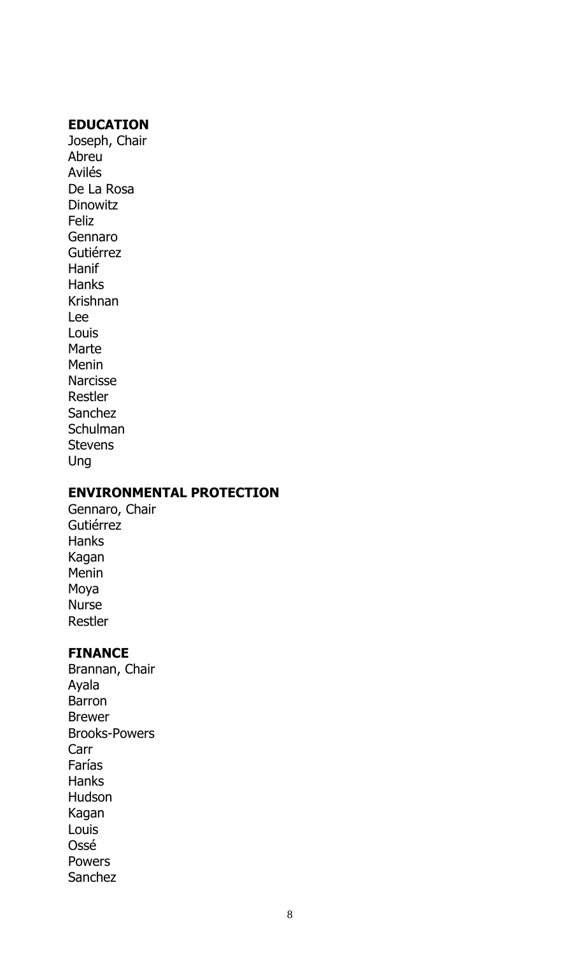#### **EDUCATION**

Joseph, Chair Abreu Avilés De La Rosa **Dinowitz** Feliz Gennaro Gutiérrez Hanif **Hanks** Krishnan Lee Louis Marte Menin Narcisse Restler Sanchez **Schulman Stevens** Ung

#### **ENVIRONMENTAL PROTECTION**

Gennaro, Chair Gutiérrez Hanks Kagan Menin Moya Nurse Restler

#### **FINANCE**

Brannan, Chair Ayala Barron Brewer Brooks-Powers Carr Farías Hanks Hudson Kagan Louis Ossé Powers Sanchez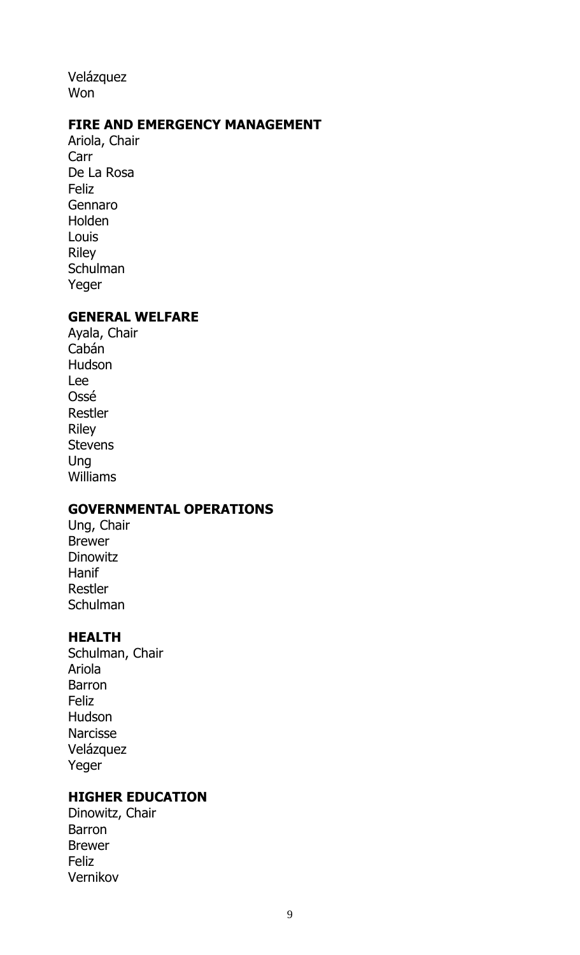Velázquez Won

#### **FIRE AND EMERGENCY MANAGEMENT**

Ariola, Chair Carr De La Rosa **Feliz** Gennaro Holden Louis Riley **Schulman** Yeger

#### **GENERAL WELFARE**

Ayala, Chair Cabán Hudson Lee Ossé Restler Riley Stevens Ung Williams

#### **GOVERNMENTAL OPERATIONS**

Ung, Chair Brewer **Dinowitz Hanif** Restler **Schulman** 

#### **HEALTH**

Schulman, Chair Ariola Barron Feliz Hudson Narcisse Velázquez Yeger

#### **HIGHER EDUCATION**

Dinowitz, Chair Barron Brewer Feliz Vernikov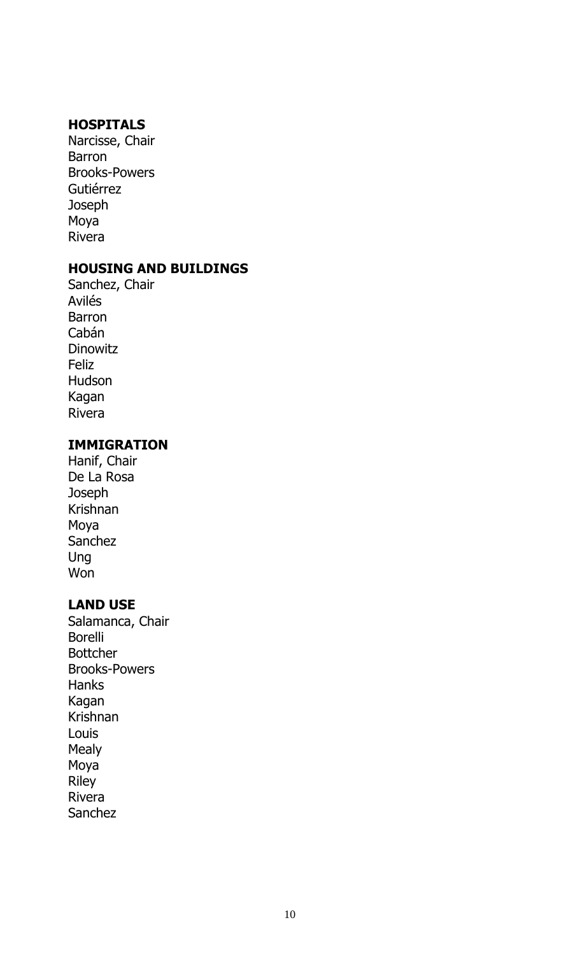#### **HOSPITALS**

Narcisse, Chair Barron Brooks-Powers Gutiérrez **Joseph** Moya Rivera

#### **HOUSING AND BUILDINGS**

Sanchez, Chair Avilés Barron Cabán **Dinowitz** Feliz Hudson Kagan Rivera

#### **IMMIGRATION**

Hanif, Chair De La Rosa **Joseph** Krishnan Moya Sanchez Ung Won

#### **LAND USE**

Salamanca, Chair Borelli Bottcher Brooks-Powers Hanks Kagan Krishnan Louis Mealy Moya Riley Rivera Sanchez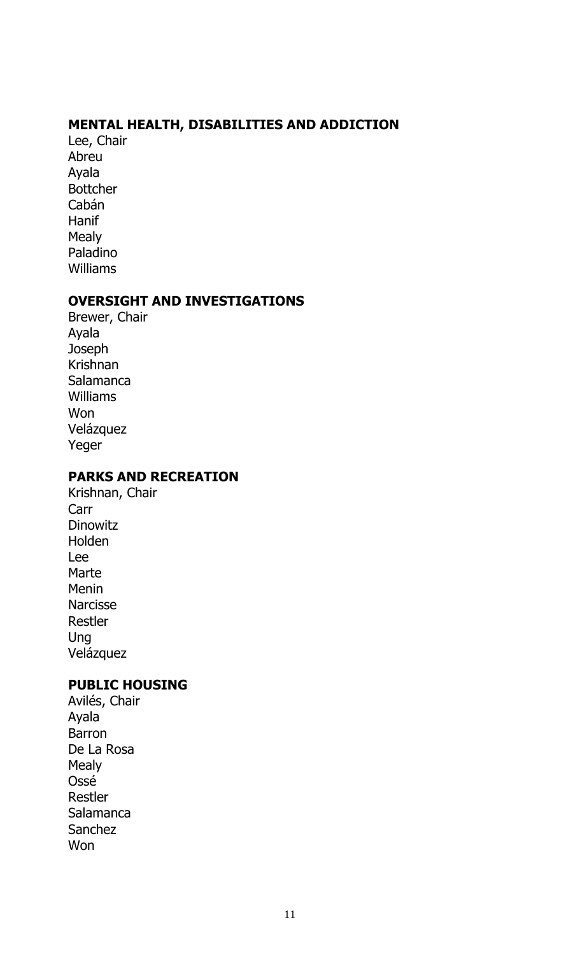#### **MENTAL HEALTH, DISABILITIES AND ADDICTION**

Lee, Chair Abreu Ayala Bottcher Cabán Hanif **Mealy** Paladino Williams

#### **OVERSIGHT AND INVESTIGATIONS**

Brewer, Chair Ayala **Joseph** Krishnan Salamanca Williams Won Velázquez Yeger

#### **PARKS AND RECREATION**

Krishnan, Chair Carr Dinowitz Holden Lee Marte Menin Narcisse Restler Ung Velázquez

#### **PUBLIC HOUSING**

Avilés, Chair Ayala Barron De La Rosa Mealy Ossé Restler Salamanca Sanchez Won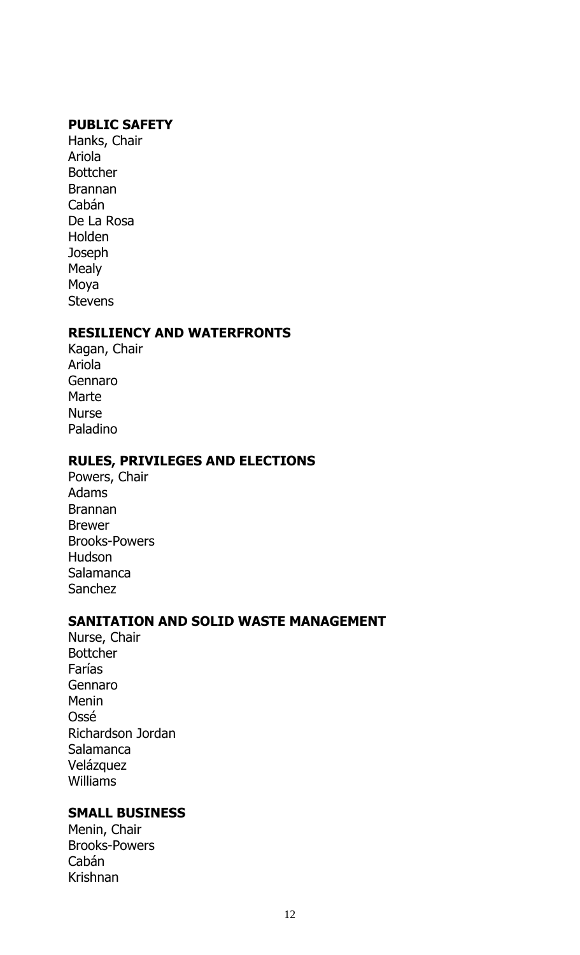#### **PUBLIC SAFETY**

Hanks, Chair Ariola Bottcher Brannan Cabán De La Rosa Holden Joseph **Mealy** Moya **Stevens** 

#### **RESILIENCY AND WATERFRONTS**

Kagan, Chair Ariola Gennaro Marte Nurse Paladino

#### **RULES, PRIVILEGES AND ELECTIONS**

Powers, Chair Adams Brannan Brewer Brooks-Powers Hudson Salamanca Sanchez

#### **SANITATION AND SOLID WASTE MANAGEMENT**

Nurse, Chair Bottcher Farías Gennaro Menin Ossé Richardson Jordan Salamanca Velázquez Williams

#### **SMALL BUSINESS**

Menin, Chair Brooks-Powers Cabán Krishnan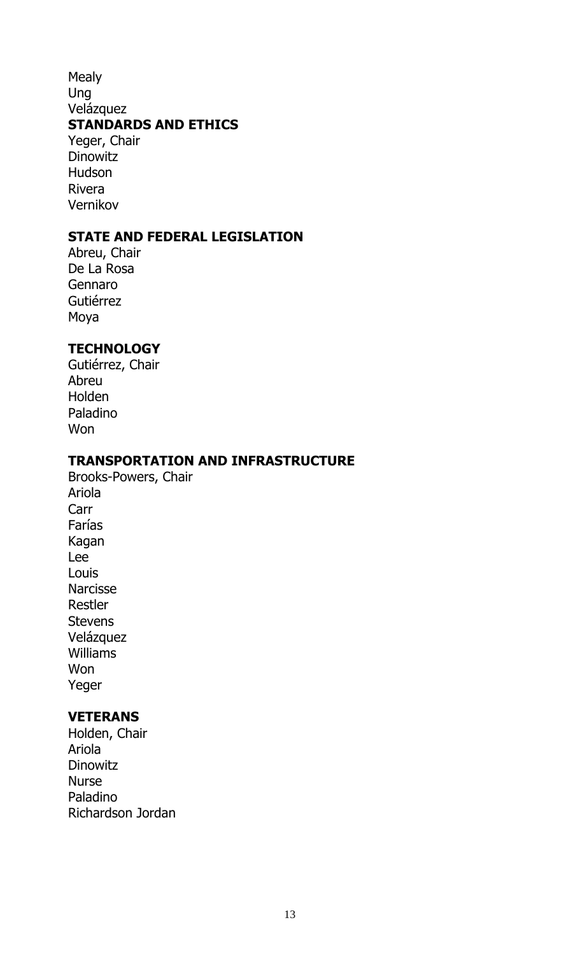#### Mealy Ung Velázquez **STANDARDS AND ETHICS** Yeger, Chair **Dinowitz**

Hudson Rivera Vernikov

#### **STATE AND FEDERAL LEGISLATION**

Abreu, Chair De La Rosa Gennaro Gutiérrez Moya

#### **TECHNOLOGY**

Gutiérrez, Chair Abreu Holden Paladino Won

#### **TRANSPORTATION AND INFRASTRUCTURE**

Brooks-Powers, Chair Ariola Carr Farías Kagan Lee Louis Narcisse Restler **Stevens** Velázquez Williams **Won** Yeger

#### **VETERANS**

Holden, Chair Ariola **Dinowitz** Nurse Paladino Richardson Jordan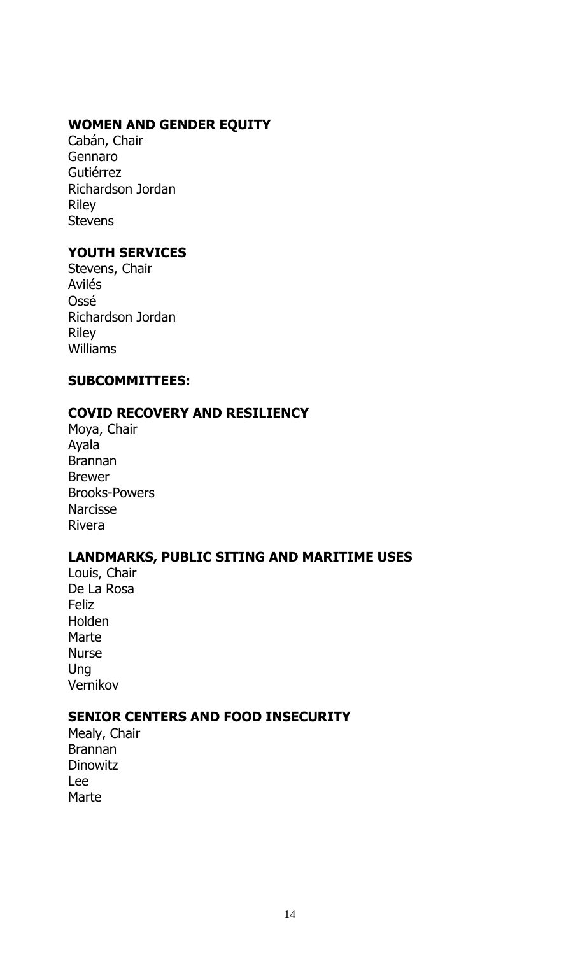#### **WOMEN AND GENDER EQUITY**

Cabán, Chair Gennaro Gutiérrez Richardson Jordan Riley **Stevens** 

#### **YOUTH SERVICES**

Stevens, Chair Avilés Ossé Richardson Jordan Riley Williams

#### **SUBCOMMITTEES:**

#### **COVID RECOVERY AND RESILIENCY**

Moya, Chair Ayala Brannan Brewer Brooks-Powers **Narcisse** Rivera

#### **LANDMARKS, PUBLIC SITING AND MARITIME USES**

Louis, Chair De La Rosa Feliz Holden **Marte** Nurse Ung Vernikov

#### **SENIOR CENTERS AND FOOD INSECURITY**

Mealy, Chair Brannan **Dinowitz** Lee Marte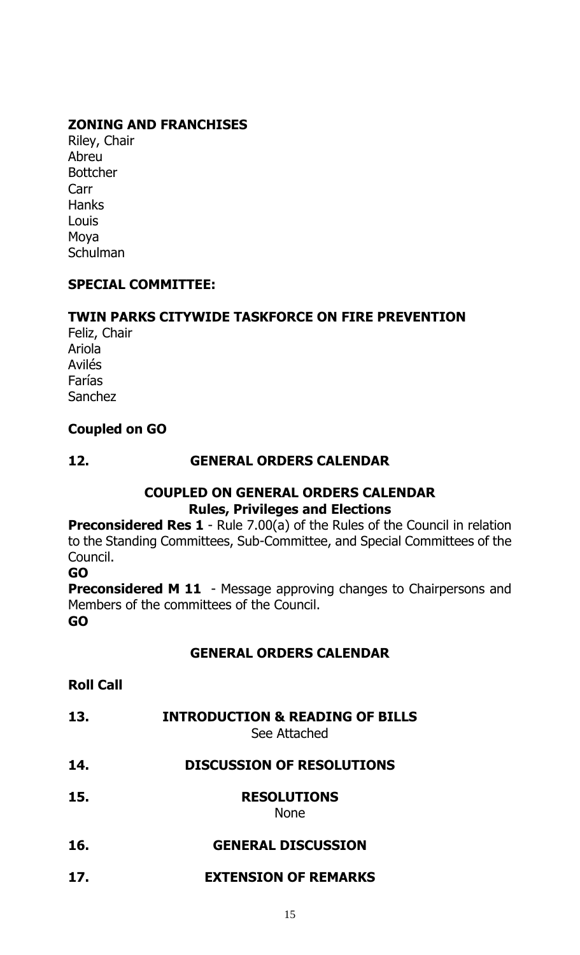#### **ZONING AND FRANCHISES**

Riley, Chair Abreu **Bottcher** Carr **Hanks** Louis Moya Schulman

#### **SPECIAL COMMITTEE:**

#### **TWIN PARKS CITYWIDE TASKFORCE ON FIRE PREVENTION**

Feliz, Chair Ariola Avilés Farías Sanchez

#### **Coupled on GO**

#### **12. GENERAL ORDERS CALENDAR**

#### **COUPLED ON GENERAL ORDERS CALENDAR Rules, Privileges and Elections**

**Preconsidered Res 1** - Rule 7.00(a) of the Rules of the Council in relation to the Standing Committees, Sub-Committee, and Special Committees of the Council.

#### **GO**

**Preconsidered M 11** - Message approving changes to Chairpersons and Members of the committees of the Council. **GO**

#### **GENERAL ORDERS CALENDAR**

- **Roll Call**
- **13. INTRODUCTION & READING OF BILLS**

See Attached

- **14. DISCUSSION OF RESOLUTIONS**
- **15. RESOLUTIONS**

None

- **16. GENERAL DISCUSSION**
- **17. EXTENSION OF REMARKS**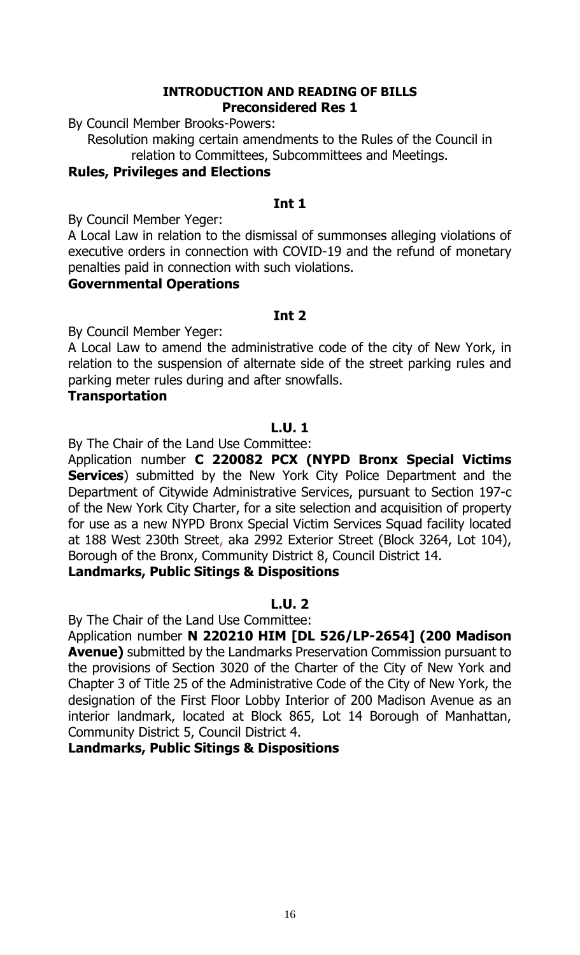#### **INTRODUCTION AND READING OF BILLS Preconsidered Res 1**

By Council Member Brooks-Powers:

Resolution making certain amendments to the Rules of the Council in relation to Committees, Subcommittees and Meetings.

#### **Rules, Privileges and Elections**

#### **Int 1**

By Council Member Yeger:

A Local Law in relation to the dismissal of summonses alleging violations of executive orders in connection with COVID-19 and the refund of monetary penalties paid in connection with such violations.

#### **Governmental Operations**

#### **Int 2**

By Council Member Yeger:

A Local Law to amend the administrative code of the city of New York, in relation to the suspension of alternate side of the street parking rules and parking meter rules during and after snowfalls.

#### **Transportation**

#### **L.U. 1**

By The Chair of the Land Use Committee:

Application number **C 220082 PCX (NYPD Bronx Special Victims Services**) submitted by the New York City Police Department and the Department of Citywide Administrative Services, pursuant to Section 197-c of the New York City Charter, for a site selection and acquisition of property for use as a new NYPD Bronx Special Victim Services Squad facility located at 188 West 230th Street, aka 2992 Exterior Street (Block 3264, Lot 104), Borough of the Bronx, Community District 8, Council District 14.

#### **Landmarks, Public Sitings & Dispositions**

#### **L.U. 2**

By The Chair of the Land Use Committee:

Application number **N 220210 HIM [DL 526/LP-2654] (200 Madison Avenue)** submitted by the Landmarks Preservation Commission pursuant to the provisions of Section 3020 of the Charter of the City of New York and Chapter 3 of Title 25 of the Administrative Code of the City of New York, the designation of the First Floor Lobby Interior of 200 Madison Avenue as an interior landmark, located at Block 865, Lot 14 Borough of Manhattan, Community District 5, Council District 4.

#### **Landmarks, Public Sitings & Dispositions**